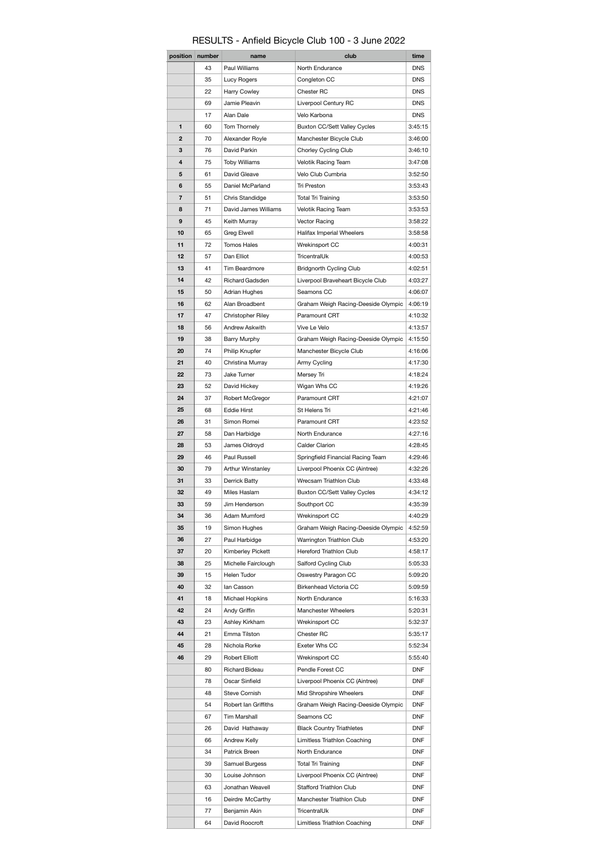## RESULTS - Anfield Bicycle Club 100 - 3 June 2022

| position | number | name                     | club                                | time       |
|----------|--------|--------------------------|-------------------------------------|------------|
|          | 43     | Paul Williams            | North Endurance                     | <b>DNS</b> |
|          | 35     | Lucy Rogers              | Congleton CC                        | <b>DNS</b> |
|          | 22     | Harry Cowley             | Chester RC                          | <b>DNS</b> |
|          | 69     | Jamie Pleavin            | Liverpool Century RC                | <b>DNS</b> |
|          | 17     | Alan Dale                | Velo Karbona                        | <b>DNS</b> |
| 1        | 60     | Tom Thornely             | <b>Buxton CC/Sett Valley Cycles</b> | 3:45:15    |
| 2        | 70     | Alexander Royle          | Manchester Bicycle Club             | 3:46:00    |
| 3        | 76     | David Parkin             | Chorley Cycling Club                | 3:46:10    |
| 4        | 75     | <b>Toby Williams</b>     | Velotik Racing Team                 | 3:47:08    |
| 5        | 61     | David Gleave             | Velo Club Cumbria                   | 3:52:50    |
| 6        | 55     | Daniel McParland         | Tri Preston                         | 3:53:43    |
| 7        | 51     | Chris Standidge          | <b>Total Tri Training</b>           | 3:53:50    |
| 8        | 71     | David James Williams     | Velotik Racing Team                 | 3:53:53    |
| 9        | 45     | Keith Murray             | Vector Racing                       | 3:58:22    |
| 10       | 65     | Greg Elwell              | Halifax Imperial Wheelers           | 3:58:58    |
| 11       | 72     | <b>Tomos Hales</b>       | Wrekinsport CC                      | 4:00:31    |
| 12       | 57     | Dan Elliot               | TricentralUk                        | 4:00:53    |
| 13       | 41     | Tim Beardmore            |                                     |            |
|          |        |                          | <b>Bridgnorth Cycling Club</b>      | 4:02:51    |
| 14       | 42     | Richard Gadsden          | Liverpool Braveheart Bicycle Club   | 4:03:27    |
| 15       | 50     | Adrian Hughes            | Seamons CC                          | 4:06:07    |
| 16       | 62     | Alan Broadbent           | Graham Weigh Racing-Deeside Olympic | 4:06:19    |
| 17       | 47     | <b>Christopher Riley</b> | Paramount CRT                       | 4:10:32    |
| 18       | 56     | Andrew Askwith           | Vive Le Velo                        | 4:13:57    |
| 19       | 38     | Barry Murphy             | Graham Weigh Racing-Deeside Olympic | 4:15:50    |
| 20       | 74     | Philip Knupfer           | Manchester Bicycle Club             | 4:16:06    |
| 21       | 40     | Christina Murray         | Army Cycling                        | 4:17:30    |
| 22       | 73     | Jake Turner              | Mersey Tri                          | 4:18:24    |
| 23       | 52     | David Hickey             | Wigan Whs CC                        | 4:19:26    |
| 24       | 37     | Robert McGregor          | Paramount CRT                       | 4:21:07    |
| 25       | 68     | <b>Eddie Hirst</b>       | St Helens Tri                       | 4:21:46    |
| 26       | 31     | Simon Romei              | Paramount CRT                       | 4:23:52    |
| 27       | 58     | Dan Harbidge             | North Endurance                     | 4:27:16    |
| 28       | 53     | James Oldroyd            | Calder Clarion                      | 4:28:45    |
| 29       | 46     | Paul Russell             | Springfield Financial Racing Team   | 4:29:46    |
| 30       | 79     | Arthur Winstanley        | Liverpool Phoenix CC (Aintree)      | 4:32:26    |
| 31       | 33     | Derrick Batty            | Wrecsam Triathlon Club              | 4:33:48    |
| 32       | 49     | Miles Haslam             | Buxton CC/Sett Valley Cycles        | 4:34:12    |
| 33       | 59     | Jim Henderson            | Southport CC                        | 4:35:39    |
| 34       | 36     | Adam Mumford             | Wrekinsport CC                      | 4:40:29    |
| 35       | 19     | Simon Hughes             | Graham Weigh Racing-Deeside Olympic | 4:52:59    |
| 36       | 27     | Paul Harbidge            | Warrington Triathlon Club           | 4:53:20    |
| 37       | 20     | Kimberley Pickett        | Hereford Triathlon Club             | 4:58:17    |
| 38       | 25     | Michelle Fairclough      | Salford Cycling Club                | 5:05:33    |
| 39       | 15     | Helen Tudor              | Oswestry Paragon CC                 | 5:09:20    |
| 40       | 32     | lan Casson               | Birkenhead Victoria CC              | 5:09:59    |
| 41       | 18     | Michael Hopkins          | North Endurance                     | 5:16:33    |
| 42       | 24     | Andy Griffin             | Manchester Wheelers                 | 5:20:31    |
| 43       | 23     | Ashley Kirkham           | Wrekinsport CC                      | 5:32:37    |
| 44       | 21     | Emma Tilston             | Chester RC                          | 5:35:17    |
| 45       | 28     | Nichola Rorke            | Exeter Whs CC                       | 5:52:34    |
| 46       | 29     | Robert Elliott           | Wrekinsport CC                      | 5:55:40    |
|          | 80     | <b>Richard Bideau</b>    | Pendle Forest CC                    | <b>DNF</b> |
|          | 78     | Oscar Sinfield           | Liverpool Phoenix CC (Aintree)      | DNF        |
|          | 48     |                          |                                     |            |
|          |        | Steve Cornish            | Mid Shropshire Wheelers             | DNF        |
|          | 54     | Robert Ian Griffiths     | Graham Weigh Racing-Deeside Olympic | DNF        |
|          | 67     | Tim Marshall             | Seamons CC                          | DNF        |
|          | 26     | David Hathaway           | <b>Black Country Triathletes</b>    | DNF        |
|          | 66     | Andrew Kelly             | Limitless Triathlon Coaching        | DNF        |
|          | 34     | Patrick Breen            | North Endurance                     | DNF        |
|          | 39     | Samuel Burgess           | <b>Total Tri Training</b>           | DNF        |
|          | 30     | Louise Johnson           | Liverpool Phoenix CC (Aintree)      | DNF        |
|          | 63     | Jonathan Weavell         | Stafford Triathlon Club             | DNF        |
|          | 16     | Deirdre McCarthy         | Manchester Triathlon Club           | DNF        |
|          | 77     | Benjamin Akin            | TricentralUk                        | DNF        |
|          | 64     | David Roocroft           | Limitless Triathlon Coaching        | <b>DNF</b> |